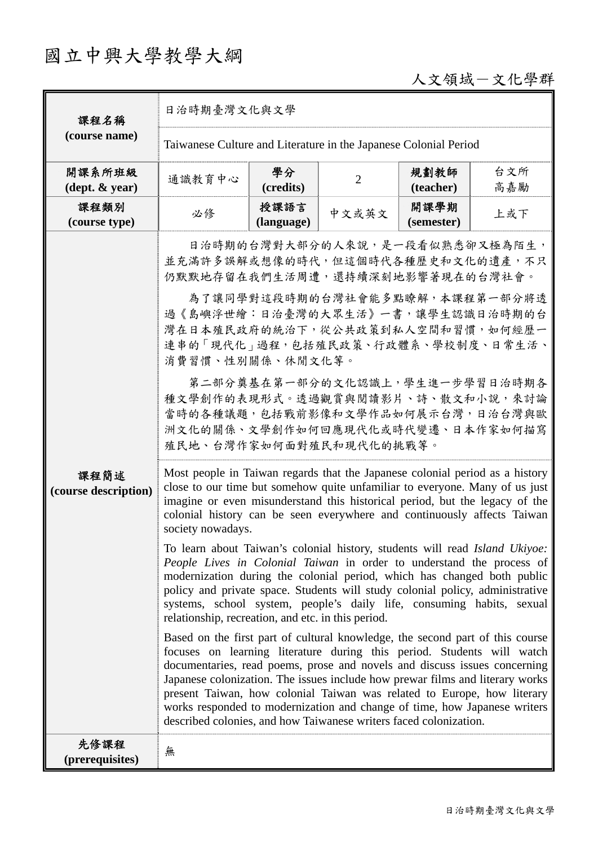# 國立中興大學教學大綱

# 人文領域-文化學群

| 課程名稱<br>(course name)                      | 日治時期臺灣文化與文學                                                                                                                                                                                                               |                                                                                                                                                                                                                                                                                                                                                                                                                                                                                                                                                                                                                                                                                                                                                                                                                                                                                                                                                                                                                                                                                                                                                                                                                                                                                                                                                                                                                                                                                                                                                                             |                |                    |            |  |  |
|--------------------------------------------|---------------------------------------------------------------------------------------------------------------------------------------------------------------------------------------------------------------------------|-----------------------------------------------------------------------------------------------------------------------------------------------------------------------------------------------------------------------------------------------------------------------------------------------------------------------------------------------------------------------------------------------------------------------------------------------------------------------------------------------------------------------------------------------------------------------------------------------------------------------------------------------------------------------------------------------------------------------------------------------------------------------------------------------------------------------------------------------------------------------------------------------------------------------------------------------------------------------------------------------------------------------------------------------------------------------------------------------------------------------------------------------------------------------------------------------------------------------------------------------------------------------------------------------------------------------------------------------------------------------------------------------------------------------------------------------------------------------------------------------------------------------------------------------------------------------------|----------------|--------------------|------------|--|--|
|                                            | Taiwanese Culture and Literature in the Japanese Colonial Period                                                                                                                                                          |                                                                                                                                                                                                                                                                                                                                                                                                                                                                                                                                                                                                                                                                                                                                                                                                                                                                                                                                                                                                                                                                                                                                                                                                                                                                                                                                                                                                                                                                                                                                                                             |                |                    |            |  |  |
| 開課系所班級<br>$(\text{dept.} \& \text{ year})$ | 通識教育中心                                                                                                                                                                                                                    | 學分<br>(credits)                                                                                                                                                                                                                                                                                                                                                                                                                                                                                                                                                                                                                                                                                                                                                                                                                                                                                                                                                                                                                                                                                                                                                                                                                                                                                                                                                                                                                                                                                                                                                             | $\overline{2}$ | 規劃教師<br>(teacher)  | 台文所<br>高嘉勵 |  |  |
| 課程類別<br>(course type)                      | 必修                                                                                                                                                                                                                        | 授課語言<br>(language)                                                                                                                                                                                                                                                                                                                                                                                                                                                                                                                                                                                                                                                                                                                                                                                                                                                                                                                                                                                                                                                                                                                                                                                                                                                                                                                                                                                                                                                                                                                                                          | 中文或英文          | 開課學期<br>(semester) | 上或下        |  |  |
| 課程簡述<br>(course description)               | present Taiwan, how colonial Taiwan was related to Europe, how literary<br>works responded to modernization and change of time, how Japanese writers<br>described colonies, and how Taiwanese writers faced colonization. | 日治時期的台灣對大部分的人來說,是一段看似熟悉卻又極為陌生,<br>並充滿許多誤解或想像的時代,但這個時代各種歷史和文化的遺產,不只<br>仍默默地存留在我們生活周遭,還持續深刻地影響著現在的台灣社會。<br>為了讓同學對這段時期的台灣社會能多點瞭解,本課程第一部分將透<br>過《島嶼浮世繪:日治臺灣的大眾生活》一書,讓學生認識日治時期的台<br>灣在日本殖民政府的統治下,從公共政策到私人空間和習慣,如何經歷一<br>連串的「現代化」過程,包括殖民政策、行政體系、學校制度、日常生活、<br>消費習慣、性別關係、休閒文化等。<br>第二部分奠基在第一部分的文化認識上,學生進一步學習日治時期各<br>種文學創作的表現形式。透過觀賞與閱讀影片、詩、散文和小說,來討論<br>當時的各種議題,包括戰前影像和文學作品如何展示台灣,日治台灣與歐<br>洲文化的關係、文學創作如何回應現代化或時代變遷、日本作家如何描寫<br>殖民地、台灣作家如何面對殖民和現代化的挑戰等。<br>Most people in Taiwan regards that the Japanese colonial period as a history<br>close to our time but somehow quite unfamiliar to everyone. Many of us just<br>imagine or even misunderstand this historical period, but the legacy of the<br>colonial history can be seen everywhere and continuously affects Taiwan<br>society nowadays.<br>To learn about Taiwan's colonial history, students will read Island Ukiyoe:<br>People Lives in Colonial Taiwan in order to understand the process of<br>modernization during the colonial period, which has changed both public<br>policy and private space. Students will study colonial policy, administrative<br>systems, school system, people's daily life, consuming habits, sexual<br>relationship, recreation, and etc. in this period.<br>Based on the first part of cultural knowledge, the second part of this course<br>focuses on learning literature during this period. Students will watch<br>documentaries, read poems, prose and novels and discuss issues concerning<br>Japanese colonization. The issues include how prewar films and literary works |                |                    |            |  |  |
| 先修課程<br>(prerequisites)                    | 無                                                                                                                                                                                                                         |                                                                                                                                                                                                                                                                                                                                                                                                                                                                                                                                                                                                                                                                                                                                                                                                                                                                                                                                                                                                                                                                                                                                                                                                                                                                                                                                                                                                                                                                                                                                                                             |                |                    |            |  |  |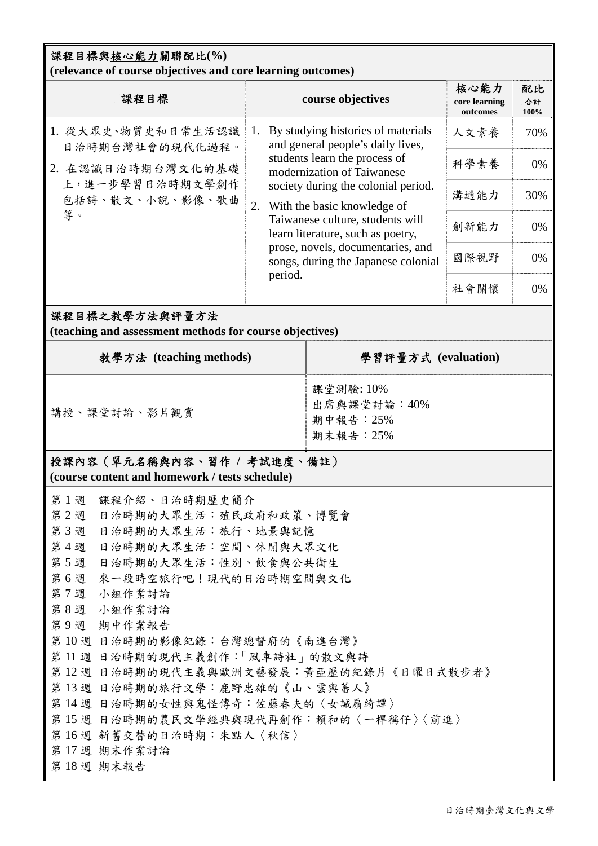## 課程目標與核心能力關聯配比**(%) (relevance of course objectives and core learning outcomes)**

| 課程目標                                                    |    | course objectives                                                                                                                                                                                                                                                                                                                                                            | 核心能力<br>core learning<br>outcomes | 配比<br>合計<br>100% |
|---------------------------------------------------------|----|------------------------------------------------------------------------------------------------------------------------------------------------------------------------------------------------------------------------------------------------------------------------------------------------------------------------------------------------------------------------------|-----------------------------------|------------------|
| 1. 從大眾史、物質史和日常生活認識<br>日治時期台灣社會的現代化過程。                   |    | By studying histories of materials<br>and general people's daily lives,<br>students learn the process of<br>modernization of Taiwanese<br>society during the colonial period.<br>With the basic knowledge of<br>Taiwanese culture, students will<br>learn literature, such as poetry,<br>prose, novels, documentaries, and<br>songs, during the Japanese colonial<br>period. | 人文素養                              | 70%              |
| 2. 在認識日治時期台灣文化的基礎<br>上,進一步學習日治時期文學創作<br>包括詩、散文、小說、影像、歌曲 | 2. |                                                                                                                                                                                                                                                                                                                                                                              | 科學素養                              | 0%               |
|                                                         |    |                                                                                                                                                                                                                                                                                                                                                                              | 溝通能力                              | 30%              |
| 等。                                                      |    |                                                                                                                                                                                                                                                                                                                                                                              | 創新能力                              | 0%               |
|                                                         |    |                                                                                                                                                                                                                                                                                                                                                                              | 國際視野                              | 0%               |
|                                                         |    |                                                                                                                                                                                                                                                                                                                                                                              | 社會關懷                              | 0%               |

## 課程目標之教學方法與評量方法

**(teaching and assessment methods for course objectives)** 

| 教學方法 (teaching methods)                                                       | 學習評量方式 (evaluation)                                 |  |  |
|-------------------------------------------------------------------------------|-----------------------------------------------------|--|--|
| 講授、課堂討論、影片觀賞                                                                  | 課堂測驗: 10%<br>出席與課堂討論: 40%<br>期中報告: 25%<br>期末報告: 25% |  |  |
| 授課內容 (單元名稱與內容、習作 / 考試進度、備註)<br>(course content and homework / tests schedule) |                                                     |  |  |

| 第1週 | 課程介紹、日治時期歷史簡介                          |
|-----|----------------------------------------|
| 第2週 | 日治時期的大眾生活:殖民政府和政策、博覽會                  |
| 第3週 | 日治時期的大眾生活︰旅行、地景與記憶                     |
| 第4週 | 日治時期的大眾生活:空間、休閒與大眾文化                   |
| 第5週 | 日治時期的大眾生活:性別、飲食與公共衛生                   |
| 第6週 | 來一段時空旅行吧!現代的日治時期空間與文化                  |
| 第7週 | 小組作業討論                                 |
| 第8週 | 小組作業討論                                 |
| 第9週 | 期中作業報告                                 |
|     | 第10週 日治時期的影像紀錄:台灣總督府的《南進台灣》            |
|     | 第11週 日治時期的現代主義創作:「風車詩社」的散文與詩           |
|     | 第12週 日治時期的現代主義與歐洲文藝發展:黃亞歷的紀錄片《日曜日式散步者》 |
|     | 第13週 日治時期的旅行文學:鹿野忠雄的《山、雲與蕃人》           |
|     | 第14週 日治時期的女性與鬼怪傳奇:佐藤春夫的〈女誡扇綺譚〉         |
|     | 第 15 週 日治時期的農民文學經典與現代再創作:賴和的〈一桿稱仔〉〈前進〉 |
|     | 第16週 新舊交替的日治時期:朱點人〈秋信〉                 |
|     | 第17週 期末作業討論                            |
|     | 第18週 期末報告                              |